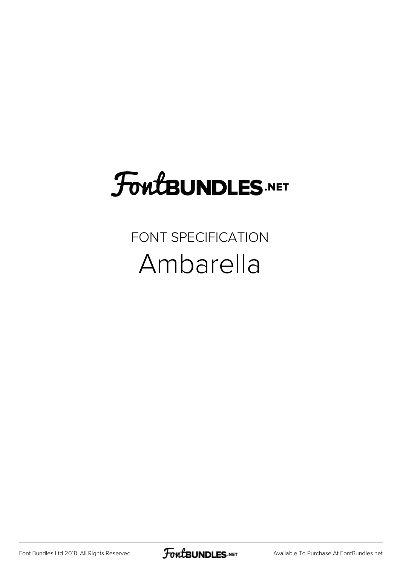## FoutBUNDLES.NET

## FONT SPECIFICATION Ambarella

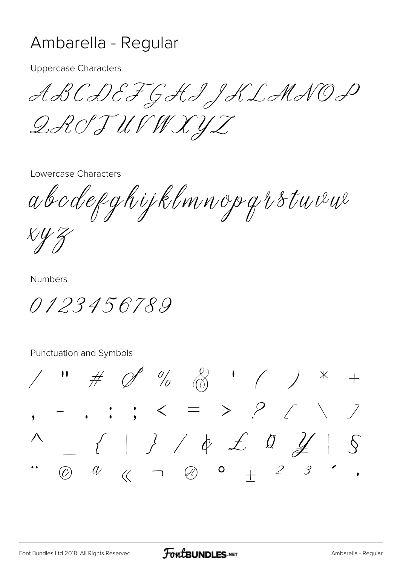## Ambarella - Regular

**Uppercase Characters** 

ABCDEFGHIJKLANOP QROJUVWXYZ

Lowercase Characters

abodefghijklmnopgrstuvu

 $X\mathcal{Y} Z$ 

**Numbers** 

0123456789

Punctuation and Symbols

 $\#$  O %  $\otimes$  ' ( )  $*$  $-$  , ; ; < = > ?  $\angle$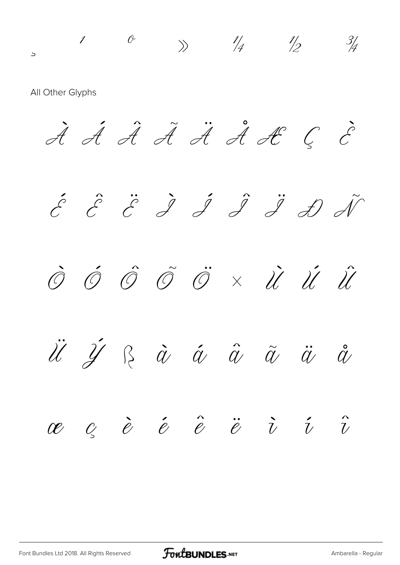$\begin{array}{ccc} \text{1} & \text{0} & \text{1} & \text{1} & \text{1} & \text{1} \ & \text{1} & \text{2} & \text{1} \end{array}$ All Other Glyphs À Á Â Ã Ä Å Æ Ç È  $\acute{c}$   $\acute{c}$   $\acute{c}$   $\acute{d}$   $\acute{d}$   $\acute{d}$   $\acute{d}$   $\acute{d}$  $\hat{\mathcal{O}}$   $\hat{\mathcal{O}}$   $\hat{\mathcal{O}}$   $\hat{\mathcal{O}}$   $\times$   $\hat{\mathcal{U}}$   $\hat{\mathcal{U}}$   $\hat{\mathcal{U}}$ Ü Ý ß à á â ã ä å  $\begin{array}{cccccccccccccc} \mathscr{C} & \mathscr{C} & \mathscr{C} & \mathscr{C} & \mathscr{C} & \mathscr{C} & \mathscr{C} & \mathscr{C} & \mathscr{C} & \mathscr{C} & \mathscr{C} & \mathscr{C} & \mathscr{C} & \mathscr{C} & \mathscr{C} & \mathscr{C} & \mathscr{C} & \mathscr{C} & \mathscr{C} & \mathscr{C} & \mathscr{C} & \mathscr{C} & \mathscr{C} & \mathscr{C} & \mathscr{C} & \mathscr{C} & \mathscr{C} & \mathscr{C} & \mathscr{C} & \mathscr{C} &$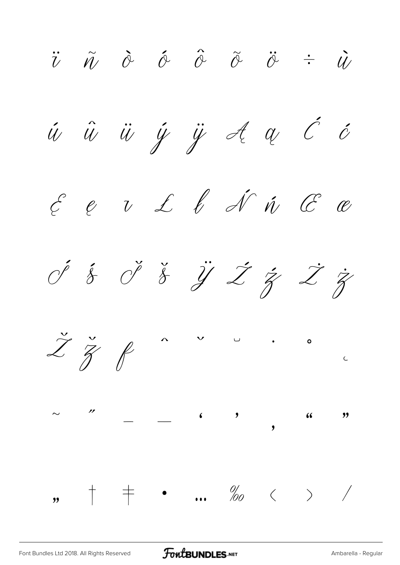$\ddot{v}$   $\ddot{\theta}$   $\dot{\theta}$   $\ddot{\theta}$   $\ddot{\theta}$   $\ddot{\theta}$   $\ddot{\theta}$   $\ddot{\theta}$  $\acute{u}$   $\ddot{u}$   $\ddot{y}$   $\ddot{y}$   $\frac{d}{d}$   $\alpha$   $\acute{c}$   $\acute{c}$  $\begin{array}{cccccccccccccc} \mathcal{E} & e & v & \mathcal{L} & \ell & \mathcal{N} & \hat{w} & \mathcal{C} & \mathcal{C} \end{array}$ Ś ś Š š Ÿ Ź ź Ż ż  $\check{Z}$   $\check{Z}$   $\oint$ ˆ ˇ ˘ ˙ ˚ ˛  $\sim$  – ( ) ( ) '  $, \, +$   $+$  • ... ‰  $\langle$  > /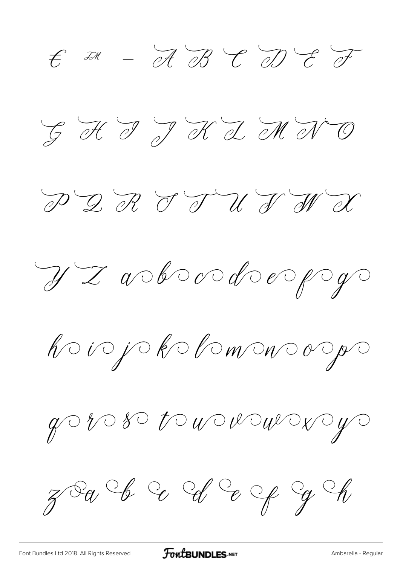$E = \frac{1}{2} \mathcal{A} + \frac{1}{2} \mathcal{B} + \frac{1}{2} \mathcal{A} + \frac{1}{2} \mathcal{B} + \frac{1}{2} \mathcal{B} + \frac{1}{2} \mathcal{B} + \frac{1}{2} \mathcal{B} + \frac{1}{2} \mathcal{B} + \frac{1}{2} \mathcal{B} + \frac{1}{2} \mathcal{B} + \frac{1}{2} \mathcal{B} + \frac{1}{2} \mathcal{B} + \frac{1}{2} \mathcal{B} + \frac{1}{2} \mathcal{B} + \frac{1}{2} \mathcal{B} + \frac{1}{2} \$ G H T J K I M N O PQRTTUJWX Y Z a bood erp y hoiojokohomonoogo  $y$  or  $y$  or  $y$  or  $y$  or  $y$  or  $y$  or  $y$  or  $y$  or  $y$  or  $y$  or  $y$  or  $y$  or  $y$  or  $y$  or  $y$  or  $y$  or  $y$  or  $y$  or  $y$  or  $y$  or  $y$  or  $y$  or  $y$  or  $y$  or  $y$  or  $y$  or  $y$  or  $y$  or  $y$  or  $y$  or  $y$  or  $y$   $28a$  I C I C e p g M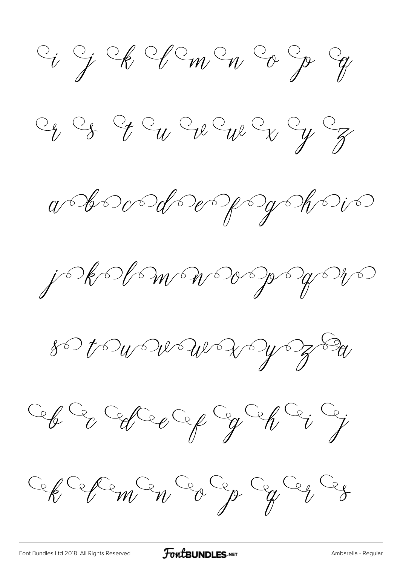$C_i$  of  $C_i$  of  $C_m$  or  $C_p$  or

 $C_yC_\delta$  of  $C_wC_wC_wC_\chi$ 

 $a$ boodoepyopopio

j kolmmersender

 $80$  to  $w$  we we  $x$  by  $\frac{1}{7}$  by

Cep Cep Cep Cep Cep Ce; Ce;

Cep Cepen Ca Ca Ca Ca Ca

[Font Bundles Ltd 2018. All Rights Reserved](https://fontbundles.net/) **FoutBUNDLES.NET** [Ambarella - Regular](https://fontbundles.net/)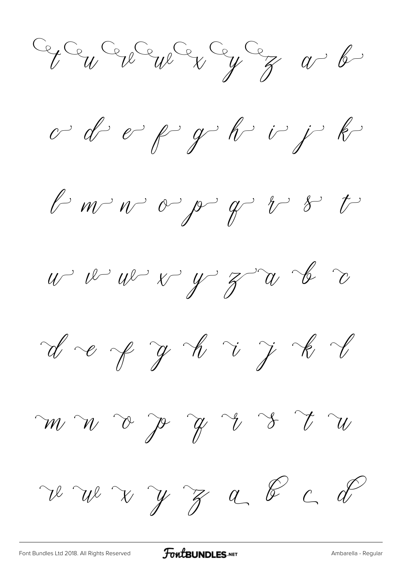Ce Ce Ce Ce Ve Ce Ce Ce a b

o d'e p g h i j k

 $l$  m  $v$  o  $\rho$   $q$   $l$   $s$  t

 $u^{\prime}$   $v^{\prime}$   $u^{\prime}$   $v^{\prime}$   $y^{\prime}$   $z^{\prime}$   $u$   $b$   $c$ 

 $d$  e  $f$  y  $h$  i j  $k$   $l$ 

re wer y z a & c d